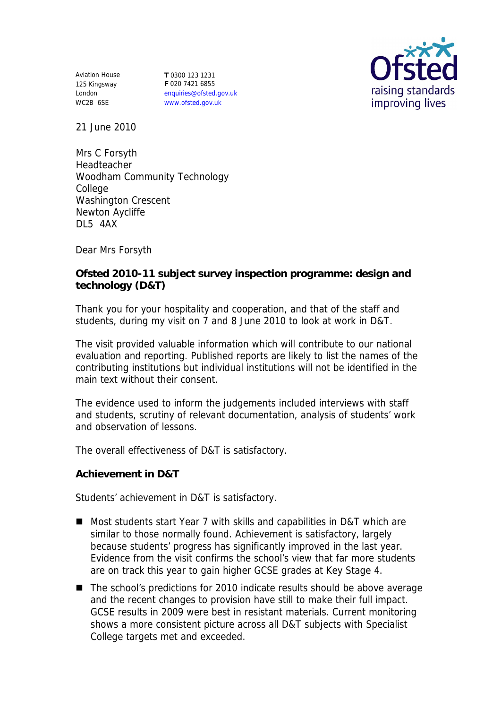Aviation House 125 Kingsway London WC2B 6SE

**T** 0300 123 1231 **F** 020 7421 6855 enquiries@ofsted.gov.uk www.ofsted.gov.uk



21 June 2010

Mrs C Forsyth Headteacher Woodham Community Technology College Washington Crescent Newton Aycliffe DL5 4AX

Dear Mrs Forsyth

**Ofsted 2010-11 subject survey inspection programme: design and technology (D&T)**

Thank you for your hospitality and cooperation, and that of the staff and students, during my visit on 7 and 8 June 2010 to look at work in D&T.

The visit provided valuable information which will contribute to our national evaluation and reporting. Published reports are likely to list the names of the contributing institutions but individual institutions will not be identified in the main text without their consent.

The evidence used to inform the judgements included interviews with staff and students, scrutiny of relevant documentation, analysis of students' work and observation of lessons.

The overall effectiveness of D&T is satisfactory.

**Achievement in D&T**

Students' achievement in D&T is satisfactory.

- Most students start Year 7 with skills and capabilities in D&T which are similar to those normally found. Achievement is satisfactory, largely because students' progress has significantly improved in the last year. Evidence from the visit confirms the school's view that far more students are on track this year to gain higher GCSE grades at Key Stage 4.
- The school's predictions for 2010 indicate results should be above average and the recent changes to provision have still to make their full impact. GCSE results in 2009 were best in resistant materials. Current monitoring shows a more consistent picture across all D&T subjects with Specialist College targets met and exceeded.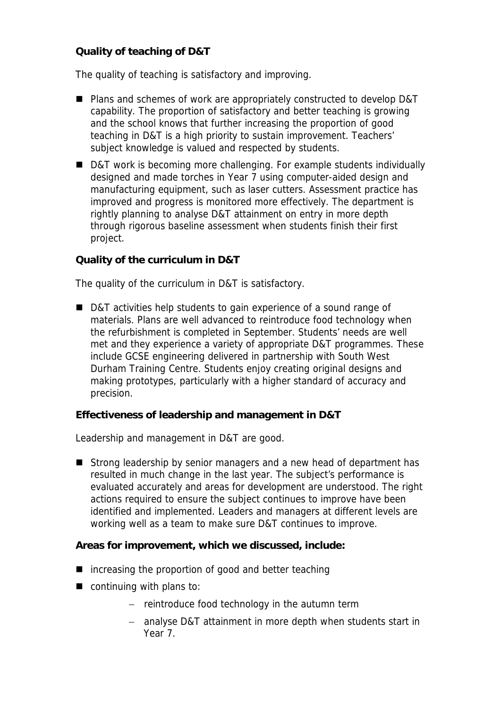**Quality of teaching of D&T**

The quality of teaching is satisfactory and improving.

- Plans and schemes of work are appropriately constructed to develop D&T capability. The proportion of satisfactory and better teaching is growing and the school knows that further increasing the proportion of good teaching in D&T is a high priority to sustain improvement. Teachers' subject knowledge is valued and respected by students.
- D&T work is becoming more challenging. For example students individually designed and made torches in Year 7 using computer-aided design and manufacturing equipment, such as laser cutters. Assessment practice has improved and progress is monitored more effectively. The department is rightly planning to analyse D&T attainment on entry in more depth through rigorous baseline assessment when students finish their first project.

**Quality of the curriculum in D&T**

The quality of the curriculum in D&T is satisfactory.

■ D&T activities help students to gain experience of a sound range of materials. Plans are well advanced to reintroduce food technology when the refurbishment is completed in September. Students' needs are well met and they experience a variety of appropriate D&T programmes. These include GCSE engineering delivered in partnership with South West Durham Training Centre. Students enjoy creating original designs and making prototypes, particularly with a higher standard of accuracy and precision.

**Effectiveness of leadership and management in D&T**

Leadership and management in D&T are good.

Strong leadership by senior managers and a new head of department has resulted in much change in the last year. The subject's performance is evaluated accurately and areas for development are understood. The right actions required to ensure the subject continues to improve have been identified and implemented. Leaders and managers at different levels are working well as a team to make sure D&T continues to improve.

**Areas for improvement, which we discussed, include:**

- increasing the proportion of good and better teaching
- continuing with plans to:
	- $-$  reintroduce food technology in the autumn term
	- analyse D&T attainment in more depth when students start in Year 7.